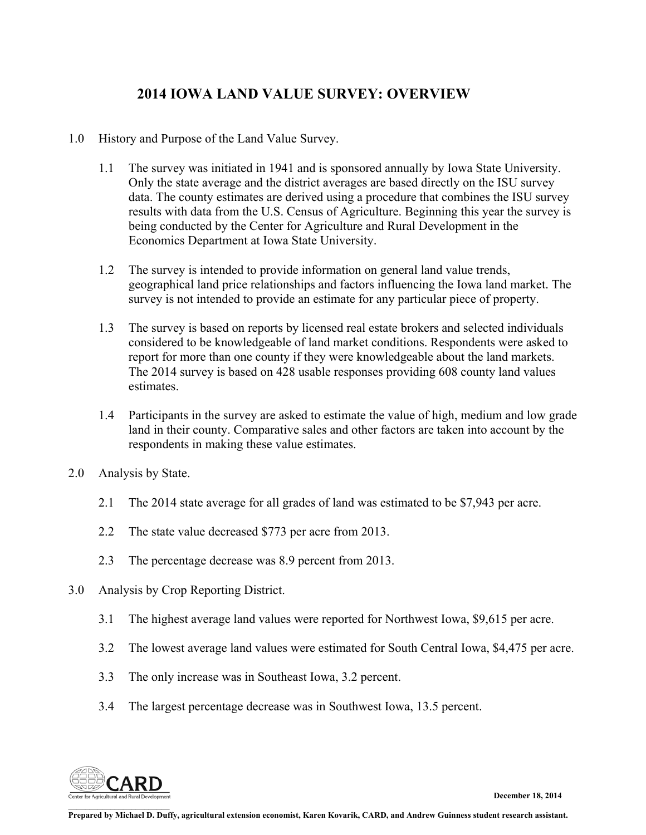### **2014 IOWA LAND VALUE SURVEY: OVERVIEW**

- 1.0 History and Purpose of the Land Value Survey.
	- 1.1 The survey was initiated in 1941 and is sponsored annually by Iowa State University. Only the state average and the district averages are based directly on the ISU survey data. The county estimates are derived using a procedure that combines the ISU survey results with data from the U.S. Census of Agriculture. Beginning this year the survey is being conducted by the Center for Agriculture and Rural Development in the Economics Department at Iowa State University.
	- 1.2 The survey is intended to provide information on general land value trends, geographical land price relationships and factors influencing the Iowa land market. The survey is not intended to provide an estimate for any particular piece of property.
	- 1.3 The survey is based on reports by licensed real estate brokers and selected individuals considered to be knowledgeable of land market conditions. Respondents were asked to report for more than one county if they were knowledgeable about the land markets. The 2014 survey is based on 428 usable responses providing 608 county land values estimates.
	- 1.4 Participants in the survey are asked to estimate the value of high, medium and low grade land in their county. Comparative sales and other factors are taken into account by the respondents in making these value estimates.
- 2.0 Analysis by State.
	- 2.1 The 2014 state average for all grades of land was estimated to be \$7,943 per acre.
	- 2.2 The state value decreased \$773 per acre from 2013.
	- 2.3 The percentage decrease was 8.9 percent from 2013.
- 3.0 Analysis by Crop Reporting District.
	- 3.1 The highest average land values were reported for Northwest Iowa, \$9,615 per acre.
	- 3.2 The lowest average land values were estimated for South Central Iowa, \$4,475 per acre.
	- 3.3 The only increase was in Southeast Iowa, 3.2 percent.
	- 3.4 The largest percentage decrease was in Southwest Iowa, 13.5 percent.



 $\mathcal{L}_\text{max}$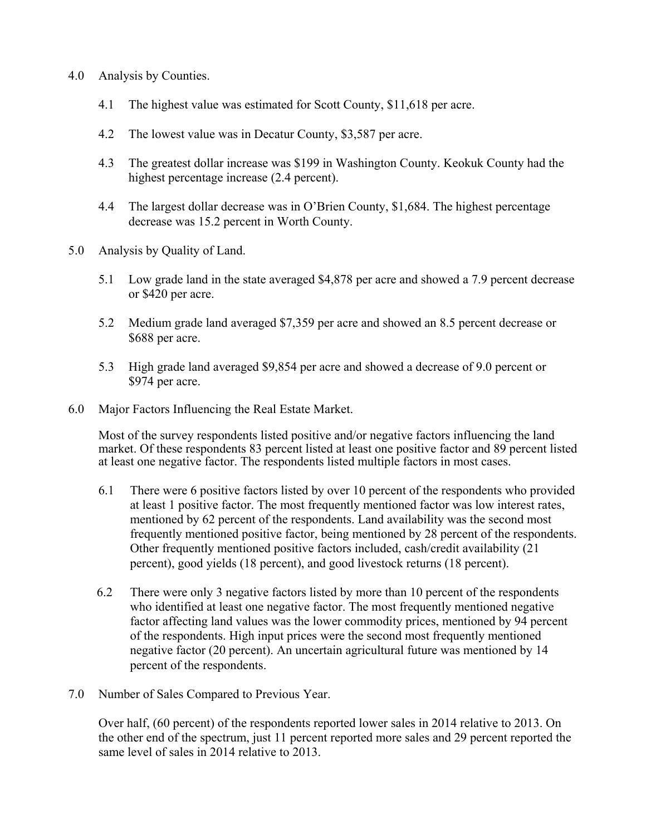- 4.0 Analysis by Counties.
	- 4.1 The highest value was estimated for Scott County, \$11,618 per acre.
	- 4.2 The lowest value was in Decatur County, \$3,587 per acre.
	- 4.3 The greatest dollar increase was \$199 in Washington County. Keokuk County had the highest percentage increase (2.4 percent).
	- 4.4 The largest dollar decrease was in O'Brien County, \$1,684. The highest percentage decrease was 15.2 percent in Worth County.
- 5.0 Analysis by Quality of Land.
	- 5.1 Low grade land in the state averaged \$4,878 per acre and showed a 7.9 percent decrease or \$420 per acre.
	- 5.2 Medium grade land averaged \$7,359 per acre and showed an 8.5 percent decrease or \$688 per acre.
	- 5.3 High grade land averaged \$9,854 per acre and showed a decrease of 9.0 percent or \$974 per acre.
- 6.0 Major Factors Influencing the Real Estate Market.

Most of the survey respondents listed positive and/or negative factors influencing the land market. Of these respondents 83 percent listed at least one positive factor and 89 percent listed at least one negative factor. The respondents listed multiple factors in most cases.

- 6.1 There were 6 positive factors listed by over 10 percent of the respondents who provided at least 1 positive factor. The most frequently mentioned factor was low interest rates, mentioned by 62 percent of the respondents. Land availability was the second most frequently mentioned positive factor, being mentioned by 28 percent of the respondents. Other frequently mentioned positive factors included, cash/credit availability (21 percent), good yields (18 percent), and good livestock returns (18 percent).
- 6.2 There were only 3 negative factors listed by more than 10 percent of the respondents who identified at least one negative factor. The most frequently mentioned negative factor affecting land values was the lower commodity prices, mentioned by 94 percent of the respondents. High input prices were the second most frequently mentioned negative factor (20 percent). An uncertain agricultural future was mentioned by 14 percent of the respondents.
- 7.0 Number of Sales Compared to Previous Year.

Over half, (60 percent) of the respondents reported lower sales in 2014 relative to 2013. On the other end of the spectrum, just 11 percent reported more sales and 29 percent reported the same level of sales in 2014 relative to 2013.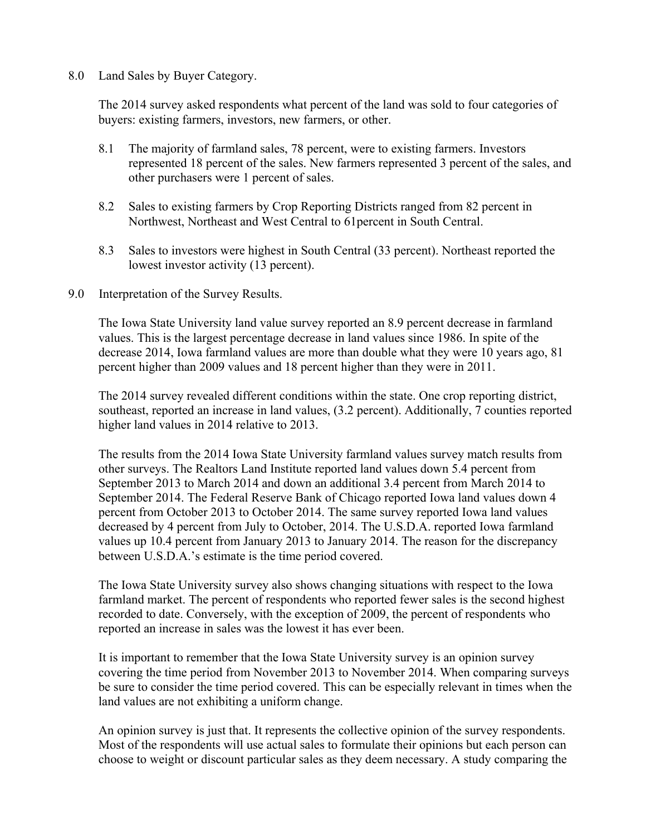#### 8.0 Land Sales by Buyer Category.

The 2014 survey asked respondents what percent of the land was sold to four categories of buyers: existing farmers, investors, new farmers, or other.

- 8.1 The majority of farmland sales, 78 percent, were to existing farmers. Investors represented 18 percent of the sales. New farmers represented 3 percent of the sales, and other purchasers were 1 percent of sales.
- 8.2 Sales to existing farmers by Crop Reporting Districts ranged from 82 percent in Northwest, Northeast and West Central to 61percent in South Central.
- 8.3 Sales to investors were highest in South Central (33 percent). Northeast reported the lowest investor activity (13 percent).

#### 9.0 Interpretation of the Survey Results.

The Iowa State University land value survey reported an 8.9 percent decrease in farmland values. This is the largest percentage decrease in land values since 1986. In spite of the decrease 2014, Iowa farmland values are more than double what they were 10 years ago, 81 percent higher than 2009 values and 18 percent higher than they were in 2011.

The 2014 survey revealed different conditions within the state. One crop reporting district, southeast, reported an increase in land values, (3.2 percent). Additionally, 7 counties reported higher land values in 2014 relative to 2013.

The results from the 2014 Iowa State University farmland values survey match results from other surveys. The Realtors Land Institute reported land values down 5.4 percent from September 2013 to March 2014 and down an additional 3.4 percent from March 2014 to September 2014. The Federal Reserve Bank of Chicago reported Iowa land values down 4 percent from October 2013 to October 2014. The same survey reported Iowa land values decreased by 4 percent from July to October, 2014. The U.S.D.A. reported Iowa farmland values up 10.4 percent from January 2013 to January 2014. The reason for the discrepancy between U.S.D.A.'s estimate is the time period covered.

The Iowa State University survey also shows changing situations with respect to the Iowa farmland market. The percent of respondents who reported fewer sales is the second highest recorded to date. Conversely, with the exception of 2009, the percent of respondents who reported an increase in sales was the lowest it has ever been.

It is important to remember that the Iowa State University survey is an opinion survey covering the time period from November 2013 to November 2014. When comparing surveys be sure to consider the time period covered. This can be especially relevant in times when the land values are not exhibiting a uniform change.

An opinion survey is just that. It represents the collective opinion of the survey respondents. Most of the respondents will use actual sales to formulate their opinions but each person can choose to weight or discount particular sales as they deem necessary. A study comparing the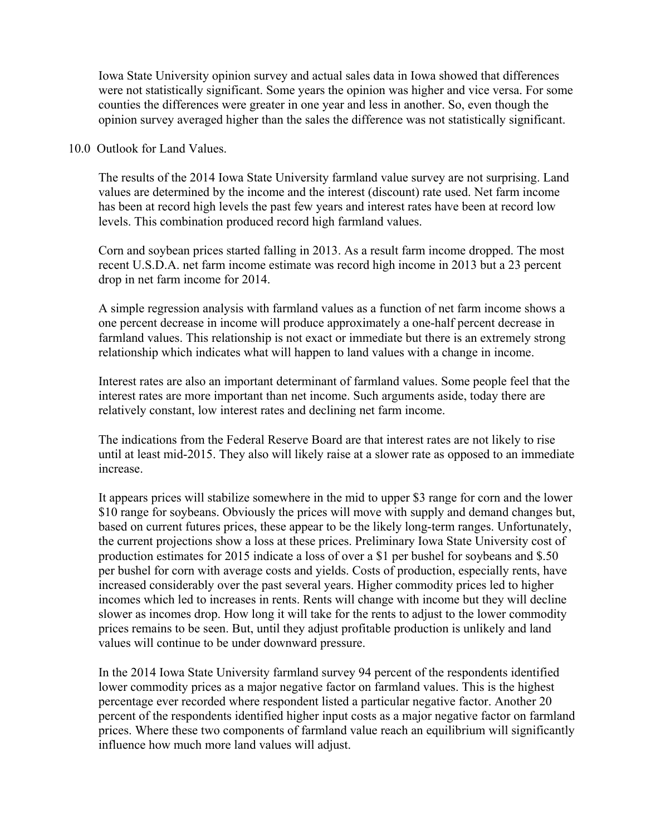Iowa State University opinion survey and actual sales data in Iowa showed that differences were not statistically significant. Some years the opinion was higher and vice versa. For some counties the differences were greater in one year and less in another. So, even though the opinion survey averaged higher than the sales the difference was not statistically significant.

10.0 Outlook for Land Values.

The results of the 2014 Iowa State University farmland value survey are not surprising. Land values are determined by the income and the interest (discount) rate used. Net farm income has been at record high levels the past few years and interest rates have been at record low levels. This combination produced record high farmland values.

Corn and soybean prices started falling in 2013. As a result farm income dropped. The most recent U.S.D.A. net farm income estimate was record high income in 2013 but a 23 percent drop in net farm income for 2014.

A simple regression analysis with farmland values as a function of net farm income shows a one percent decrease in income will produce approximately a one-half percent decrease in farmland values. This relationship is not exact or immediate but there is an extremely strong relationship which indicates what will happen to land values with a change in income.

Interest rates are also an important determinant of farmland values. Some people feel that the interest rates are more important than net income. Such arguments aside, today there are relatively constant, low interest rates and declining net farm income.

The indications from the Federal Reserve Board are that interest rates are not likely to rise until at least mid-2015. They also will likely raise at a slower rate as opposed to an immediate increase.

It appears prices will stabilize somewhere in the mid to upper \$3 range for corn and the lower \$10 range for soybeans. Obviously the prices will move with supply and demand changes but, based on current futures prices, these appear to be the likely long-term ranges. Unfortunately, the current projections show a loss at these prices. Preliminary Iowa State University cost of production estimates for 2015 indicate a loss of over a \$1 per bushel for soybeans and \$.50 per bushel for corn with average costs and yields. Costs of production, especially rents, have increased considerably over the past several years. Higher commodity prices led to higher incomes which led to increases in rents. Rents will change with income but they will decline slower as incomes drop. How long it will take for the rents to adjust to the lower commodity prices remains to be seen. But, until they adjust profitable production is unlikely and land values will continue to be under downward pressure.

In the 2014 Iowa State University farmland survey 94 percent of the respondents identified lower commodity prices as a major negative factor on farmland values. This is the highest percentage ever recorded where respondent listed a particular negative factor. Another 20 percent of the respondents identified higher input costs as a major negative factor on farmland prices. Where these two components of farmland value reach an equilibrium will significantly influence how much more land values will adjust.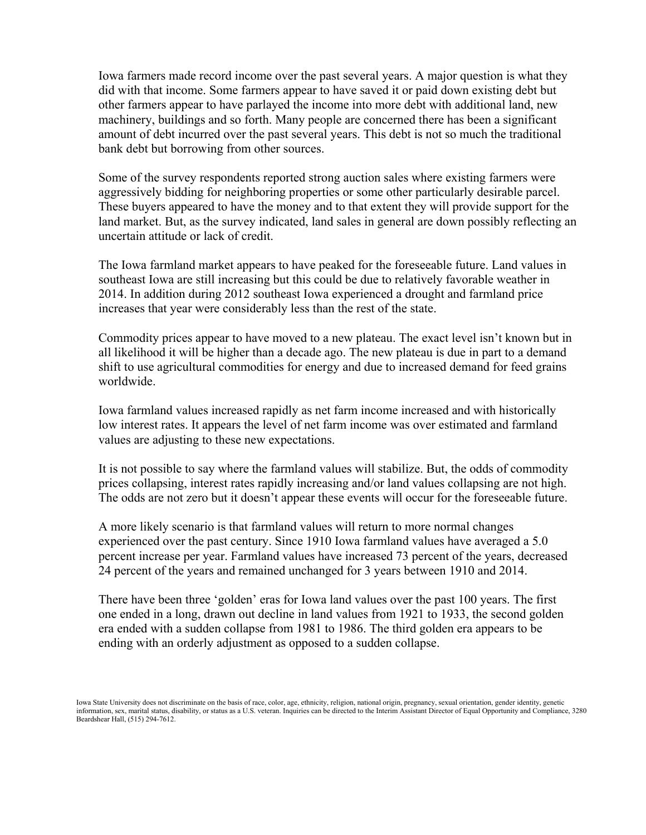Iowa farmers made record income over the past several years. A major question is what they did with that income. Some farmers appear to have saved it or paid down existing debt but other farmers appear to have parlayed the income into more debt with additional land, new machinery, buildings and so forth. Many people are concerned there has been a significant amount of debt incurred over the past several years. This debt is not so much the traditional bank debt but borrowing from other sources.

Some of the survey respondents reported strong auction sales where existing farmers were aggressively bidding for neighboring properties or some other particularly desirable parcel. These buyers appeared to have the money and to that extent they will provide support for the land market. But, as the survey indicated, land sales in general are down possibly reflecting an uncertain attitude or lack of credit.

The Iowa farmland market appears to have peaked for the foreseeable future. Land values in southeast Iowa are still increasing but this could be due to relatively favorable weather in 2014. In addition during 2012 southeast Iowa experienced a drought and farmland price increases that year were considerably less than the rest of the state.

Commodity prices appear to have moved to a new plateau. The exact level isn't known but in all likelihood it will be higher than a decade ago. The new plateau is due in part to a demand shift to use agricultural commodities for energy and due to increased demand for feed grains worldwide.

Iowa farmland values increased rapidly as net farm income increased and with historically low interest rates. It appears the level of net farm income was over estimated and farmland values are adjusting to these new expectations.

It is not possible to say where the farmland values will stabilize. But, the odds of commodity prices collapsing, interest rates rapidly increasing and/or land values collapsing are not high. The odds are not zero but it doesn't appear these events will occur for the foreseeable future.

A more likely scenario is that farmland values will return to more normal changes experienced over the past century. Since 1910 Iowa farmland values have averaged a 5.0 percent increase per year. Farmland values have increased 73 percent of the years, decreased 24 percent of the years and remained unchanged for 3 years between 1910 and 2014.

There have been three 'golden' eras for Iowa land values over the past 100 years. The first one ended in a long, drawn out decline in land values from 1921 to 1933, the second golden era ended with a sudden collapse from 1981 to 1986. The third golden era appears to be ending with an orderly adjustment as opposed to a sudden collapse.

Iowa State University does not discriminate on the basis of race, color, age, ethnicity, religion, national origin, pregnancy, sexual orientation, gender identity, genetic information, sex, marital status, disability, or status as a U.S. veteran. Inquiries can be directed to the Interim Assistant Director of Equal Opportunity and Compliance, 3280 Beardshear Hall, (515) 294-7612.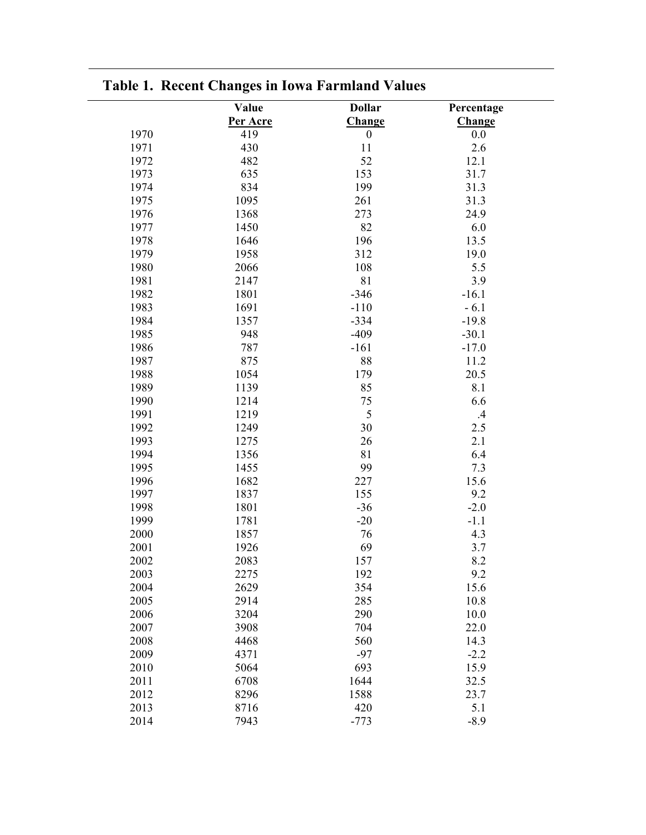| <b>Dollar</b><br>Value<br>Percentage<br>Per Acre<br><b>Change</b><br>Change<br>1970<br>419<br>$\boldsymbol{0}$<br>0.0<br>11<br>1971<br>430<br>2.6<br>52<br>12.1<br>1972<br>482<br>635<br>153<br>31.7<br>1973<br>834<br>199<br>31.3<br>1974<br>1095<br>31.3<br>1975<br>261<br>1976<br>1368<br>273<br>24.9<br>82<br>1977<br>1450<br>6.0<br>1978<br>196<br>13.5<br>1646<br>1979<br>1958<br>312<br>19.0<br>1980<br>2066<br>108<br>5.5<br>81<br>1981<br>3.9<br>2147<br>1982<br>1801<br>$-346$<br>$-16.1$<br>$-110$<br>1983<br>1691<br>$-6.1$<br>1984<br>1357<br>$-334$<br>$-19.8$<br>1985<br>948<br>$-409$<br>$-30.1$ |
|------------------------------------------------------------------------------------------------------------------------------------------------------------------------------------------------------------------------------------------------------------------------------------------------------------------------------------------------------------------------------------------------------------------------------------------------------------------------------------------------------------------------------------------------------------------------------------------------------------------|
|                                                                                                                                                                                                                                                                                                                                                                                                                                                                                                                                                                                                                  |
|                                                                                                                                                                                                                                                                                                                                                                                                                                                                                                                                                                                                                  |
|                                                                                                                                                                                                                                                                                                                                                                                                                                                                                                                                                                                                                  |
|                                                                                                                                                                                                                                                                                                                                                                                                                                                                                                                                                                                                                  |
|                                                                                                                                                                                                                                                                                                                                                                                                                                                                                                                                                                                                                  |
|                                                                                                                                                                                                                                                                                                                                                                                                                                                                                                                                                                                                                  |
|                                                                                                                                                                                                                                                                                                                                                                                                                                                                                                                                                                                                                  |
|                                                                                                                                                                                                                                                                                                                                                                                                                                                                                                                                                                                                                  |
|                                                                                                                                                                                                                                                                                                                                                                                                                                                                                                                                                                                                                  |
|                                                                                                                                                                                                                                                                                                                                                                                                                                                                                                                                                                                                                  |
|                                                                                                                                                                                                                                                                                                                                                                                                                                                                                                                                                                                                                  |
|                                                                                                                                                                                                                                                                                                                                                                                                                                                                                                                                                                                                                  |
|                                                                                                                                                                                                                                                                                                                                                                                                                                                                                                                                                                                                                  |
|                                                                                                                                                                                                                                                                                                                                                                                                                                                                                                                                                                                                                  |
|                                                                                                                                                                                                                                                                                                                                                                                                                                                                                                                                                                                                                  |
|                                                                                                                                                                                                                                                                                                                                                                                                                                                                                                                                                                                                                  |
|                                                                                                                                                                                                                                                                                                                                                                                                                                                                                                                                                                                                                  |
| 1986<br>787<br>$-161$<br>$-17.0$                                                                                                                                                                                                                                                                                                                                                                                                                                                                                                                                                                                 |
| 875<br>1987<br>88<br>11.2                                                                                                                                                                                                                                                                                                                                                                                                                                                                                                                                                                                        |
| 1988<br>1054<br>179<br>20.5                                                                                                                                                                                                                                                                                                                                                                                                                                                                                                                                                                                      |
| 85<br>8.1<br>1989<br>1139                                                                                                                                                                                                                                                                                                                                                                                                                                                                                                                                                                                        |
| 75<br>1990<br>1214<br>6.6                                                                                                                                                                                                                                                                                                                                                                                                                                                                                                                                                                                        |
| 5<br>1991<br>1219<br>.4                                                                                                                                                                                                                                                                                                                                                                                                                                                                                                                                                                                          |
| 1992<br>30<br>$2.5\,$<br>1249                                                                                                                                                                                                                                                                                                                                                                                                                                                                                                                                                                                    |
| 1993<br>1275<br>26<br>2.1                                                                                                                                                                                                                                                                                                                                                                                                                                                                                                                                                                                        |
| 1994<br>1356<br>81<br>6.4                                                                                                                                                                                                                                                                                                                                                                                                                                                                                                                                                                                        |
| 1995<br>1455<br>99<br>7.3                                                                                                                                                                                                                                                                                                                                                                                                                                                                                                                                                                                        |
| 1996<br>1682<br>227<br>15.6                                                                                                                                                                                                                                                                                                                                                                                                                                                                                                                                                                                      |
| 155<br>1997<br>9.2<br>1837                                                                                                                                                                                                                                                                                                                                                                                                                                                                                                                                                                                       |
| 1998<br>1801<br>$-36$<br>$-2.0$                                                                                                                                                                                                                                                                                                                                                                                                                                                                                                                                                                                  |
| 1999<br>1781<br>$-20$<br>$-1.1$                                                                                                                                                                                                                                                                                                                                                                                                                                                                                                                                                                                  |
| 2000<br>76<br>4.3<br>1857                                                                                                                                                                                                                                                                                                                                                                                                                                                                                                                                                                                        |
| 69<br>3.7<br>2001<br>1926                                                                                                                                                                                                                                                                                                                                                                                                                                                                                                                                                                                        |
| 2002<br>2083<br>157<br>8.2                                                                                                                                                                                                                                                                                                                                                                                                                                                                                                                                                                                       |
| 2003<br>192<br>9.2<br>2275                                                                                                                                                                                                                                                                                                                                                                                                                                                                                                                                                                                       |
| 2004<br>2629<br>354<br>15.6                                                                                                                                                                                                                                                                                                                                                                                                                                                                                                                                                                                      |
| 2005<br>2914<br>285<br>10.8                                                                                                                                                                                                                                                                                                                                                                                                                                                                                                                                                                                      |
| 2006<br>3204<br>290<br>10.0                                                                                                                                                                                                                                                                                                                                                                                                                                                                                                                                                                                      |
| 2007<br>3908<br>704<br>22.0                                                                                                                                                                                                                                                                                                                                                                                                                                                                                                                                                                                      |
| 560<br>2008<br>14.3<br>4468                                                                                                                                                                                                                                                                                                                                                                                                                                                                                                                                                                                      |
| $-97$<br>2009<br>4371<br>$-2.2$                                                                                                                                                                                                                                                                                                                                                                                                                                                                                                                                                                                  |
| 693<br>15.9<br>2010<br>5064                                                                                                                                                                                                                                                                                                                                                                                                                                                                                                                                                                                      |
| 2011<br>6708<br>1644<br>32.5                                                                                                                                                                                                                                                                                                                                                                                                                                                                                                                                                                                     |
| 23.7<br>2012<br>8296<br>1588                                                                                                                                                                                                                                                                                                                                                                                                                                                                                                                                                                                     |
| 2013<br>8716<br>420<br>5.1                                                                                                                                                                                                                                                                                                                                                                                                                                                                                                                                                                                       |
| 2014<br>7943<br>$-773$<br>$-8.9$                                                                                                                                                                                                                                                                                                                                                                                                                                                                                                                                                                                 |

### **Table 1. Recent Changes in Iowa Farmland Values**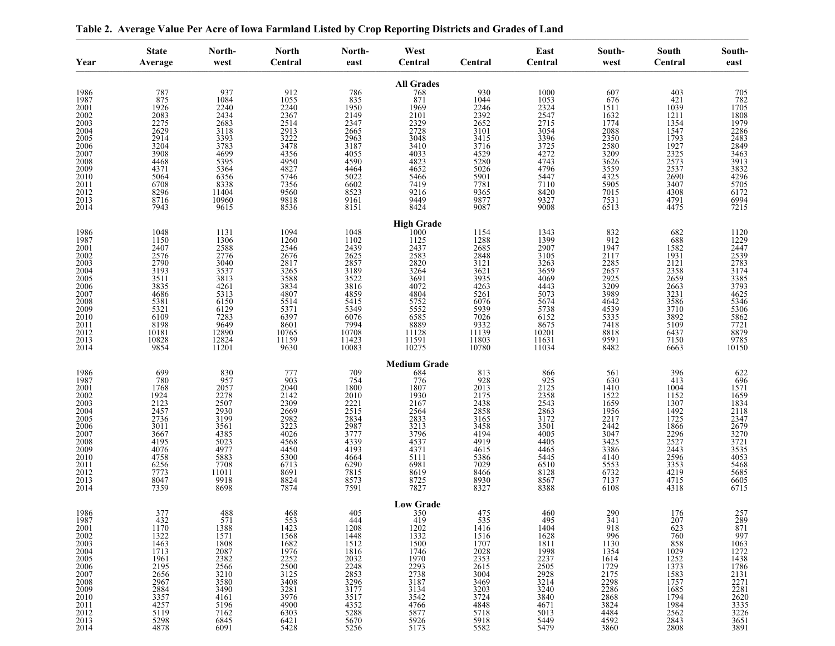| Year                                                                                                                                                    | <b>State</b><br>Average                                                                                                                                   | North-<br>west                                                                                                                  | <b>North</b><br>Central                                                                                                        | North-<br>east                                                                                                                         | West<br>Central                                                                                                                                      | Central                                                                                                                             | East<br>Central                                                                                                                                                   | South-<br>west                                                                                                                                                                                   | South<br>Central                                                                                                                  | South-<br>east                                                                                                                                                           |
|---------------------------------------------------------------------------------------------------------------------------------------------------------|-----------------------------------------------------------------------------------------------------------------------------------------------------------|---------------------------------------------------------------------------------------------------------------------------------|--------------------------------------------------------------------------------------------------------------------------------|----------------------------------------------------------------------------------------------------------------------------------------|------------------------------------------------------------------------------------------------------------------------------------------------------|-------------------------------------------------------------------------------------------------------------------------------------|-------------------------------------------------------------------------------------------------------------------------------------------------------------------|--------------------------------------------------------------------------------------------------------------------------------------------------------------------------------------------------|-----------------------------------------------------------------------------------------------------------------------------------|--------------------------------------------------------------------------------------------------------------------------------------------------------------------------|
| 1986<br>1987<br>2001<br>2002<br>2003<br>2004<br>2005<br>$\substack{2006 \\ 2007}$<br>2008<br>2009<br>2010<br>2011                                       | 787<br>875<br>1926<br>2083<br>2275<br>2629<br>2914<br>3204<br>3908<br>4468<br>4371<br>5064<br>6708                                                        | $\frac{937}{1084}$<br>2240<br>2434<br>2683<br>3118<br>3393<br>3783<br>4699<br>5395<br>5364<br>6356<br>8338                      | 912<br>1055<br>2240<br>2367<br>2514<br>2913<br>3222<br>3478<br>4356<br>4950<br>4827<br>5746<br>7356                            | $\substack{786 \\ 835}$<br>1950<br>2149<br>2347<br>2665<br>2963<br>3187<br>4055<br>4590<br>4464<br>5022<br>6602                        | <b>All Grades</b><br>$\frac{768}{871}$<br>1969<br>2101<br>$\frac{2329}{2728}$<br>3048<br>3410<br>4033<br>4823<br>5466<br>7419<br>9216                | $\frac{930}{1044}$<br>2246<br>2392<br>2652<br>3101<br>3415<br>3716<br>4529<br>5280<br>5026<br>5901<br>7781                          | 1000<br>1053<br>2324<br>2547<br>2715<br>3054<br>3396<br>3725<br>4272<br>4743<br>4796<br>5447<br>7110                                                              | 607<br>676<br>1511<br>1632<br>1774<br>2088<br>2350<br>2580<br>3209<br>3626<br>3559<br>4325<br>5905                                                                                               | 403<br>421<br>1039<br>1211<br>1354<br>1547<br>1793<br>$\frac{1927}{2325}$<br>$\frac{2573}{2537}$<br>2690<br>3407                  | 705<br>782<br>1705<br>1808<br>1979<br>$\frac{2286}{2483}$<br>2849<br>3463<br>$\begin{array}{c} 3913 \\ 3832 \\ 4296 \end{array}$<br>5705                                 |
| 2012<br>2013<br>2014                                                                                                                                    | 8296<br>8716<br>7943                                                                                                                                      | 11404<br>10960<br>9615                                                                                                          | 9560<br>9818<br>8536                                                                                                           | 8523<br>9161<br>8151                                                                                                                   | 9449<br>8424                                                                                                                                         | 9365<br>9877<br>9087                                                                                                                | 8420<br>9327<br>9008                                                                                                                                              | 7015<br>7531<br>6513                                                                                                                                                                             | 4308<br>4791<br>4475                                                                                                              | 6172<br>6994<br>7215                                                                                                                                                     |
| 1986<br>1987<br>2001<br>2002<br>$\frac{2003}{2004}$<br>$\substack{2005 \\ 2006}$<br>2007<br>2008<br>2009<br>2010<br>2011<br>$\frac{2012}{2013}$<br>2014 | 1048<br>1150<br>2407<br>2576<br>2790<br>3193<br>3511<br>3835<br>4686<br>5381<br>5321<br>6109<br>8198<br>10181<br>10828<br>9854                            | 1131<br>1306<br>2588<br>2776<br>3040<br>3537<br>3813<br>4261<br>5313<br>6150<br>6129<br>7283<br>9649<br>12890<br>12824<br>11201 | 1094<br>1260<br>2546<br>2676<br>2817<br>3265<br>3588<br>3834<br>4807<br>5514<br>5371<br>6397<br>8601<br>10765<br>11159<br>9630 | 1048<br>1102<br>2439<br>2625<br>$\frac{2857}{3189}$<br>3522<br>3816<br>4859<br>5415<br>5349<br>6076<br>7994<br>10708<br>11423<br>10083 | <b>High Grade</b><br>1000<br>1125<br>2437<br>2583<br>2820<br>3264<br>3691<br>4072<br>4804<br>5752<br>5552<br>6585<br>8889<br>11128<br>11591<br>10275 | 1154<br>1288<br>2685<br>2848<br>$3121$<br>$3621$<br>3935<br>4263<br>5261<br>6076<br>5939<br>7026<br>9332<br>11139<br>11803<br>10780 | 1343<br>1399<br>2907<br>3105<br>3263<br>3659<br>4069<br>4443<br>5073<br>5674<br>5738<br>$\begin{array}{c} 6152 \\ 8675 \\ 10201 \\ 11631 \\ \end{array}$<br>11034 | 832<br>912<br>1947<br>2117<br>2285<br>2657<br>2925<br>3209<br>3989<br>4642<br>4539<br>5335<br>7418<br>8818<br>9591<br>8482                                                                       | 682<br>688<br>1582<br>1931<br>2121<br>2358<br>2659<br>2663<br>3231<br>3586<br>3710<br>3892<br>5109<br>6437<br>7150<br>6663        | 1120<br>1229<br>2447<br>$\frac{2539}{2783}$<br>$\frac{2783}{3174}$<br>$\frac{3385}{3793}$<br>$\frac{4625}{5346}$<br>5306<br>5862<br>7721<br>$\frac{8879}{9785}$<br>10150 |
| 1986<br>1987<br>2001<br>2002<br>2003<br>2004<br>2005<br>2006<br>$\substack{2007 \\ 2008}$<br>$\frac{2009}{2010}$<br>2011<br>2012<br>2013<br>2014        | 699<br>780<br>1768<br>1924<br>$21\overline{2}3$<br>2457<br>2736<br>3011<br>3667<br>4195<br>4076<br>4758<br>6256<br>7773<br>8047<br>7359                   | 830<br>957<br>2057<br>2278<br>2507<br>2930<br>3199<br>3561<br>4385<br>5023<br>4977<br>5883<br>7708<br>11011<br>9918<br>8698     | 777<br>903<br>2040<br>2142<br>2309<br>2669<br>2982<br>3223<br>4026<br>4568<br>4450<br>5300<br>6713<br>8691<br>8824<br>7874     | 709<br>754<br>1800<br>2010<br>2221<br>2515<br>2834<br>2987<br>3777<br>4339<br>4193<br>4664<br>6290<br>7815<br>8573<br>7591             | <b>Medium Grade</b><br>684<br>776<br>1807<br>1930<br>2167<br>2564<br>2833<br>3213<br>3796<br>4537<br>4371<br>5111<br>6981<br>8619<br>8725<br>7827    | 813<br>$\frac{928}{2013}$<br>2175<br>2438<br>2858<br>3165<br>3458<br>4194<br>4919<br>4615<br>5386<br>7029<br>8466<br>8930<br>8327   | 866<br>$\frac{925}{2125}$<br>2358<br>2543<br>2863<br>3172<br>3501<br>4005<br>4405<br>4465<br>5445<br>6510<br>8128<br>8567<br>8388                                 | 561<br>630<br>1410<br>1522<br>1659<br>1956<br>$\frac{2217}{2442}$<br>3047<br>3425<br>3386<br>4140<br>5553<br>6732<br>7137<br>6108                                                                | 396<br>413<br>1004<br>$\frac{1152}{1307}$<br>1492<br>1725<br>1866<br>2296<br>2527<br>2443<br>2596<br>3353<br>4219<br>4715<br>4318 | $622$<br>$696$<br>$1571$<br>1659<br>1834<br>2118<br>2118<br>2347<br>2679<br>3270<br>3721<br>3535<br>4053<br>5468<br>5685<br>6605<br>6715                                 |
| 1986<br>1987<br>2001<br>2002<br>2003<br>2004<br>2005<br>2006<br>2007<br>2008<br>2009<br>2010<br>2011<br>2012<br>$\frac{2013}{2014}$                     | 377<br>432<br>1170<br>1322<br>1463<br>1713<br>1961<br>2195<br>2656<br>2967<br>2884<br>$\begin{array}{c} 2357 \\ 4257 \\ 5119 \\ 5298 \\ 4878 \end{array}$ | 488<br>571<br>1388<br>1571<br>1808<br>2087<br>2382<br>2566<br>3210<br>3580<br>3490<br>4161<br>5196<br>7162<br>6845<br>6091      | 468<br>553<br>1423<br>1568<br>1682<br>1976<br>2252<br>2500<br>3125<br>3408<br>3281<br>4900<br>6303<br>6421<br>5428             | 405<br>444<br>1208<br>$\frac{1448}{1512}$<br>1816<br>2032<br>2248<br>2853<br>3296<br>3177<br>3517<br>$^{4352}_{5288}$<br>5670<br>5256  | <b>Low Grade</b><br>350<br>419<br>1202<br>1332<br>1500<br>1746<br>1970<br>2293<br>2738<br>3187<br>3134<br>3542<br>4766<br>5877<br>5926               | 475<br>535<br>1416<br>1516<br>1707<br>2028<br>2353<br>2615<br>3004<br>3469<br>3203<br>3724<br>4848<br>5718<br>5918<br>5582          | 460<br>495<br>1404<br>1628<br>1811<br>1998<br>1998<br>2237<br>2505<br>2928<br>3214<br>3240<br>3840<br>4671<br>4671<br>5013<br>5449<br>5479                        | $\frac{290}{341}$<br>918<br>$\frac{996}{1130}$<br>$\begin{array}{c}\n 1354 \\  1354 \\  1614 \\  1729 \\  2175 \\  2298 \\  2286 \\  2060\n \end{array}$<br>2868<br>3824<br>4484<br>4592<br>3860 | 176<br>$\frac{207}{623}$<br>760<br>858<br>1029<br>1252<br>1373<br>1583<br>1757<br>1685<br>1794<br>1984<br>2562<br>2843<br>2808    | 257<br>289<br>871<br>997<br>1063<br>1272<br>1438<br>2131<br>2281<br>2281<br>2281<br>2281<br>2281<br>3325<br>3325<br>3651                                                 |

**Table 2. Average Value Per Acre of Iowa Farmland Listed by Crop Reporting Districts and Grades of Land**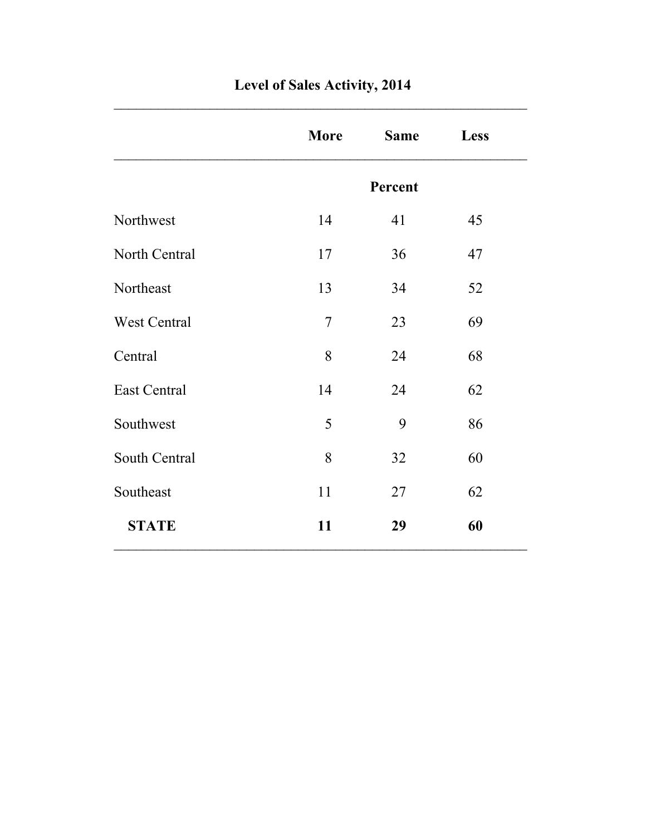|                     | <b>More</b>    | <b>Same</b> | Less |
|---------------------|----------------|-------------|------|
|                     |                | Percent     |      |
| Northwest           | 14             | 41          | 45   |
| North Central       | 17             | 36          | 47   |
| Northeast           | 13             | 34          | 52   |
| West Central        | $\overline{7}$ | 23          | 69   |
| Central             | 8              | 24          | 68   |
| <b>East Central</b> | 14             | 24          | 62   |
| Southwest           | 5              | 9           | 86   |
| South Central       | 8              | 32          | 60   |
| Southeast           | 11             | 27          | 62   |
| <b>STATE</b>        | 11             | 29          | 60   |

### **Level of Sales Activity, 2014**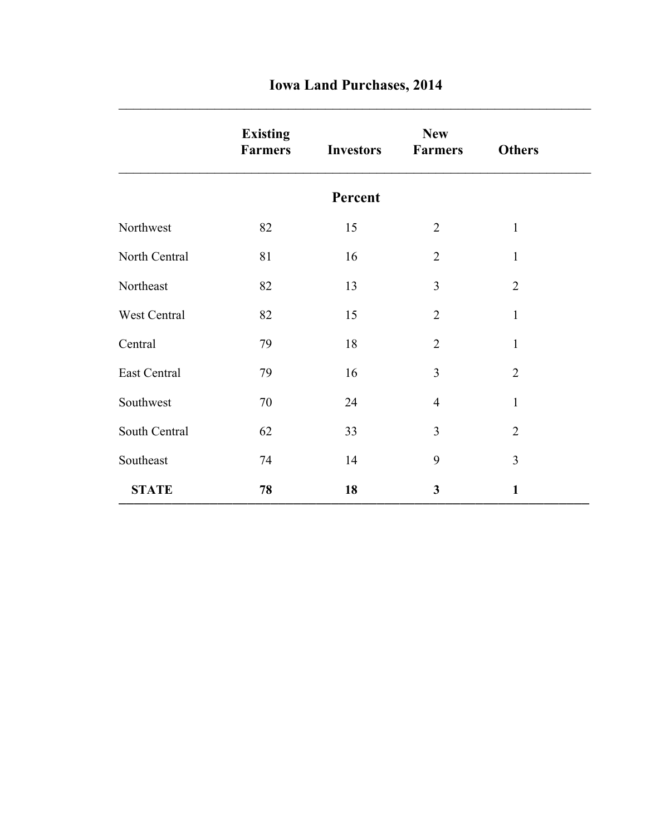|  |  | <b>Iowa Land Purchases, 2014</b> |  |
|--|--|----------------------------------|--|
|--|--|----------------------------------|--|

|               | <b>Existing</b><br><b>Farmers</b> | <b>Investors</b> | <b>New</b><br><b>Farmers</b> | <b>Others</b>  |
|---------------|-----------------------------------|------------------|------------------------------|----------------|
|               |                                   | Percent          |                              |                |
| Northwest     | 82                                | 15               | $\overline{2}$               | $\mathbf{1}$   |
| North Central | 81                                | 16               | $\overline{2}$               | $\mathbf{1}$   |
| Northeast     | 82                                | 13               | 3                            | $\overline{2}$ |
| West Central  | 82                                | 15               | $\overline{2}$               | $\mathbf{1}$   |
| Central       | 79                                | 18               | $\overline{2}$               | $\mathbf{1}$   |
| East Central  | 79                                | 16               | 3                            | $\overline{2}$ |
| Southwest     | 70                                | 24               | $\overline{4}$               | $\mathbf{1}$   |
| South Central | 62                                | 33               | 3                            | $\overline{2}$ |
| Southeast     | 74                                | 14               | 9                            | 3              |
| <b>STATE</b>  | 78                                | 18               | 3                            | $\mathbf{1}$   |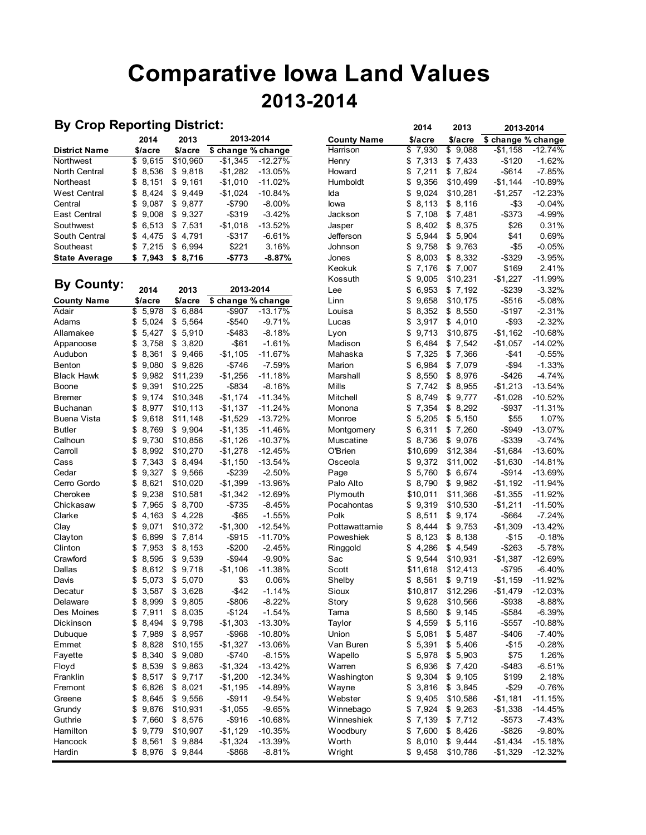# **Comparative Iowa Land Values 2013-2014**

### **By Crop Reporting District:**

|                      | 2014    | 2013              | 2013-2014          |            | <b>County Name</b> | \$/acre  | \$/acre  | \$ change % change |           |
|----------------------|---------|-------------------|--------------------|------------|--------------------|----------|----------|--------------------|-----------|
| <b>District Name</b> | \$/acre | \$/acre           | \$ change % change |            | Harrison           | \$7,930  | \$9,088  | $-$1.158$          | $-12.74%$ |
| Northwest            | \$9,615 | \$10.960          | -\$1.345           | -12.27%    | Henry              | \$7,313  | \$7,433  | -\$120             | $-1.62%$  |
| North Central        | \$8,536 | \$9,818           | -\$1,282           | -13.05%    | Howard             | \$7,211  | \$7,824  | -\$614             | $-7.85%$  |
| Northeast            | \$8.151 | \$9.161           | -\$1.010           | $-11.02%$  | Humboldt           | \$9.356  | \$10.499 | $-$1.144$          | $-10.89%$ |
| <b>West Central</b>  | \$8.424 | \$9.449           | -\$1.024           | $-10.84\%$ | Ida                | \$9.024  | \$10.281 | $-$1,257$          | $-12.23%$ |
| Central              | \$9.087 | \$9.877           | -\$790             | $-8.00\%$  | lowa               | \$8.113  | \$ 8.116 | -\$3               | $-0.04%$  |
| East Central         | \$9.008 | \$9.327           | -\$319             | $-3.42%$   | Jackson            | \$7.108  | \$7.481  | $-$ \$373          | $-4.99%$  |
| Southwest            | \$6,513 | \$7.531           | $-$1,018$          | -13.52%    | Jasper             | \$ 8,402 | \$ 8,375 | \$26               | 0.31%     |
| South Central        | \$4.475 | \$4.791           | -\$317             | $-6.61\%$  | <b>Jefferson</b>   | \$ 5.944 | \$5.904  | \$41               | 0.69%     |
| Southeast            | \$7.215 | \$ 6.994          | \$221              | 3.16%      | Johnson            | \$9.758  | \$9.763  | $-$ \$5            | $-0.05%$  |
| <b>State Average</b> |         | $$7,943$ $$8,716$ | $-5773$            | $-8.87%$   | Jones              | \$ 8,003 | \$ 8.332 | $-$ \$329          | $-3.95%$  |

| <b>By County:</b>  |                 |             |                    |           | <b>NUSSUU</b> I | Φ           | 9,UUD | 31 U, Z J I | /∠∠,ا ⊄-  | -11.99%   |
|--------------------|-----------------|-------------|--------------------|-----------|-----------------|-------------|-------|-------------|-----------|-----------|
|                    | 2014            | 2013        | 2013-2014          |           | Lee             | \$          | 6,953 | \$7,192     | $-$239$   | $-3.32%$  |
| <b>County Name</b> | \$/acre         | \$/acre     | \$ change % change |           | Linn            | \$<br>9,658 |       | \$10,175    | $-$516$   | $-5.08%$  |
| Adair              | 5,978<br>\$     | \$6,884     | $-$907$            | $-13.17%$ | Louisa          | \$<br>8,352 |       | \$8,550     | $-$197$   | $-2.31%$  |
| Adams              | \$<br>5,024     | \$5,564     | $-$540$            | $-9.71%$  | Lucas           | 3,917<br>\$ |       | \$4,010     | $-$ \$93  | $-2.32%$  |
| Allamakee          | \$<br>5,427     | \$5,910     | $-$483$            | $-8.18%$  | Lyon            | \$<br>9,713 |       | \$10,875    | $-$1,162$ | $-10.68%$ |
| Appanoose          | \$<br>3,758     | 3,820<br>\$ | $- $61$            | $-1.61%$  | Madison         | \$<br>6,484 |       | \$7,542     | $-$1,057$ | $-14.02%$ |
| Audubon            | 8,361<br>\$     | \$<br>9,466 | $-$1,105$          | $-11.67%$ | Mahaska         | 7,325<br>\$ |       | 7,366<br>\$ | -\$41     | $-0.55%$  |
| Benton             | \$<br>9,080     | \$9,826     | $-$746$            | $-7.59%$  | Marion          | 6,984<br>\$ |       | \$7,079     | $-$ \$94  | $-1.33%$  |
| <b>Black Hawk</b>  | \$<br>9,982     | \$11,239    | $-$1,256$          | $-11.18%$ | Marshall        | \$<br>8,550 |       | \$<br>8,976 | $-$426$   | $-4.74%$  |
| Boone              | 9,391<br>\$     | \$10,225    | $-$ \$834          | $-8.16%$  | Mills           | \$<br>7,742 |       | \$8,955     | $-$1,213$ | $-13.54%$ |
| <b>Bremer</b>      | \$<br>9,174     | \$10,348    | $-$1,174$          | $-11.34%$ | Mitchell        | \$<br>8,749 |       | \$9,777     | $-$1,028$ | $-10.52%$ |
| <b>Buchanan</b>    | \$<br>8,977     | \$10,113    | $-$1,137$          | $-11.24%$ | Monona          | 7,354<br>\$ |       | \$<br>8,292 | $-$ \$937 | $-11.31%$ |
| Buena Vista        | \$<br>9,618     | \$11,148    | $-$1,529$          | $-13.72%$ | Monroe          | \$<br>5,205 |       | \$<br>5,150 | \$55      | 1.07%     |
| <b>Butler</b>      | 8,769<br>\$     | \$9,904     | $-$1,135$          | $-11.46%$ | Montgomery      | 6,311<br>\$ |       | \$7,260     | $-$ \$949 | $-13.07%$ |
| Calhoun            | \$<br>9,730     | \$10,856    | $-$1,126$          | $-10.37%$ | Muscatine       | \$ 8,736    |       | \$9,076     | $-$ \$339 | $-3.74%$  |
| Carroll            | 8,992<br>\$     | \$10,270    | $-$1,278$          | $-12.45%$ | O'Brien         | \$10,699    |       | \$12,384    | $-$1,684$ | $-13.60%$ |
| Cass               | \$<br>7,343     | \$8,494     | $-$1,150$          | $-13.54%$ | Osceola         | 9,372<br>\$ |       | \$11,002    | $-$1,630$ | $-14.81%$ |
| Cedar              | \$<br>9.<br>327 | \$9,566     | $-$239$            | $-2.50%$  | Page            | 5,760<br>\$ |       | \$6,674     | $-$ \$914 | $-13.69%$ |
| Cerro Gordo        | 8,621<br>\$     | \$10,020    | $-$1,399$          | $-13.96%$ | Palo Alto       | \$8,790     |       | \$9,982     | $-$1,192$ | $-11.94%$ |
| Cherokee           | \$<br>9,238     | \$10,581    | $-$1,342$          | $-12.69%$ | Plymouth        | \$10,011    |       | \$11,366    | $-$1,355$ | $-11.92%$ |
| Chickasaw          | \$<br>7,965     | \$8,700     | $-$735$            | $-8.45%$  | Pocahontas      | \$9,319     |       | \$10,530    | $-$1,211$ | $-11.50%$ |
| Clarke             | 4,163<br>\$     | \$4,228     | $-$ \$65           | $-1.55%$  | Polk            | 8,511<br>\$ |       | \$9,174     | -\$664    | $-7.24%$  |
| Clay               | \$<br>9,071     | \$10,372    | $-$1,300$          | $-12.54%$ | Pottawattamie   | \$<br>8,444 |       | \$9,753     | $-$1,309$ | $-13.42%$ |
| Clayton            | \$<br>6,899     | \$7,814     | $-$ \$915          | $-11.70%$ | Poweshiek       | 8,123<br>\$ |       | \$8,138     | $-$15$    | $-0.18%$  |
| Clinton            | \$<br>7,953     | \$8,153     | $-$200$            | $-2.45%$  | Ringgold        | 4,286<br>\$ |       | \$4,549     | $-$263$   | $-5.78%$  |
| Crawford           | \$<br>8,595     | 9,539<br>\$ | $-$ \$944          | $-9.90%$  | Sac             | 9,544<br>\$ |       | \$10,931    | $-$1,387$ | $-12.69%$ |
| Dallas             | \$<br>8,612     | \$9,718     | $-$1,106$          | $-11.38%$ | Scott           | \$11,618    |       | \$12,413    | $-$795$   | $-6.40%$  |
| Davis              | \$<br>5,073     | \$<br>5,070 | \$3                | 0.06%     | Shelby          | \$8,561     |       | \$9,719     | $-$1,159$ | $-11.92%$ |
| Decatur            | 3,587<br>\$     | 3,628<br>\$ | $-$ \$42           | $-1.14%$  | Sioux           | \$10,817    |       | \$12,296    | $-$1,479$ | $-12.03%$ |
| Delaware           | 8,999<br>\$     | \$9,805     | $-$806$            | $-8.22%$  | Story           | 9,628<br>\$ |       | \$10,566    | $-$ \$938 | $-8.88%$  |
| Des Moines         | \$<br>7,911     | \$8,035     | $-$124$            | $-1.54%$  | Tama            | \$<br>8,560 |       | \$9,145     | $-$584$   | $-6.39%$  |
| Dickinson          | \$<br>8,494     | \$9,798     | $-$1,303$          | $-13.30%$ | Taylor          | \$<br>4,559 |       | \$5,116     | $-$557$   | $-10.88%$ |
| Dubuque            | 7,989<br>\$     | \$8,957     | $-$968$            | $-10.80%$ | Union           | 5,081<br>\$ |       | \$5,487     | $-$406$   | $-7.40%$  |
| Emmet              | \$<br>8,828     | \$10,155    | $-$1,327$          | $-13.06%$ | Van Buren       | \$<br>5,391 |       | 5,406<br>\$ | -\$15     | $-0.28%$  |
| Fayette            | 8,340<br>\$     | \$9,080     | $-$740$            | $-8.15%$  | Wapello         | \$<br>5,978 |       | \$<br>5,903 | \$75      | 1.26%     |
| Floyd              | 8,539<br>\$     | \$9,863     | $-$1,324$          | $-13.42%$ | Warren          | 6,936<br>\$ |       | \$7,420     | $-$483$   | $-6.51%$  |
| Franklin           | \$<br>8,517     | \$9,717     | $-$1,200$          | $-12.34%$ | Washington      | \$<br>9,304 |       | \$9,105     | \$199     | 2.18%     |
| Fremont            | \$<br>6,826     | \$<br>8,021 | $-$1,195$          | $-14.89%$ | Wayne           | \$          | 3,816 | \$3,845     | $-$29$    | $-0.76%$  |
| Greene             | 8,645<br>\$     | \$9,556     | $-$ \$911          | $-9.54%$  | Webster         | 9,405<br>\$ |       | \$10,586    | $-$1,181$ | $-11.15%$ |
| Grundy             | 9,876<br>\$     | \$10,931    | $-$1,055$          | $-9.65%$  | Winnebago       | 7,924<br>\$ |       | \$9,263     | $-$1,338$ | $-14.45%$ |
| Guthrie            | \$<br>7,660     | \$8,576     | $-$916$            | $-10.68%$ | Winneshiek      | 7,139<br>\$ |       | \$7,712     | $-$573$   | $-7.43%$  |
| Hamilton           | \$<br>9,779     | \$10,907    | $-$1,129$          | $-10.35%$ | Woodbury        | 7,600<br>\$ |       | \$8,426     | $-$ \$826 | $-9.80%$  |
| Hancock            | 8,561<br>\$     | \$9,884     | $-$1,324$          | $-13.39%$ | Worth           | \$<br>8,010 |       | \$9,444     | $-$1,434$ | $-15.18%$ |
| Hardin             | \$<br>8.976     | \$9,844     | $-$ \$868          | $-8.81%$  | Wright          | 9,458<br>\$ |       | \$10,786    | $-$1,329$ | $-12.32%$ |
|                    |                 |             |                    |           |                 |             |       |             |           |           |

| By Crop Reporting District: |             |             |                    |           |                    | 2014        | 2013        | 2013-2014          |           |
|-----------------------------|-------------|-------------|--------------------|-----------|--------------------|-------------|-------------|--------------------|-----------|
|                             | 2014        | 2013        | 2013-2014          |           | <b>County Name</b> | \$/acre     | \$/acre     | \$ change % change |           |
| District Name               | \$/acre     | \$/acre     | \$ change % change |           | Harrison           | \$<br>7,930 | \$9,088     | $-$1,158$          | $-12.74%$ |
| Northwest                   | \$9,615     | \$10,960    | $-$1,345$          | $-12.27%$ | Henry              | \$<br>7,313 | \$7,433     | $-$120$            | $-1.62%$  |
| North Central               | \$<br>8,536 | \$9,818     | $-$1,282$          | $-13.05%$ | Howard             | \$<br>7,211 | \$7,824     | $-$ \$614          | $-7.85%$  |
| Northeast                   | \$<br>8,151 | \$9,161     | $-$1,010$          | $-11.02%$ | Humboldt           | \$<br>9,356 | \$10,499    | $-$1,144$          | $-10.89%$ |
| West Central                | \$<br>8,424 | \$9,449     | $-$1,024$          | -10.84%   | Ida                | \$<br>9,024 | \$10,281    | $-$1,257$          | $-12.23%$ |
| Central                     | \$<br>9,087 | \$9,877     | $-$790$            | $-8.00%$  | lowa               | 8,113<br>\$ | \$8,116     | $- $3$             | $-0.04%$  |
| East Central                | \$<br>9,008 | \$9,327     | $-$319$            | $-3.42%$  | Jackson            | 7,108<br>\$ | \$7,481     | $-$373$            | -4.99%    |
| Southwest                   | \$<br>6,513 | \$7,531     | $-$1,018$          | -13.52%   | Jasper             | 8,402<br>\$ | \$8,375     | \$26               | 0.31%     |
| South Central               | \$<br>4,475 | \$<br>4,791 | $-$ \$317          | $-6.61%$  | Jefferson          | 5,944<br>\$ | \$5,904     | \$41               | 0.69%     |
| Southeast                   | 7,215<br>\$ | \$6,994     | \$221              | 3.16%     | Johnson            | 9,758<br>\$ | \$9,763     | $- $5$             | $-0.05%$  |
| State Average               | \$7,943     | \$8,716     | $-$773$            | $-8.87%$  | Jones              | 8,003<br>\$ | \$8,332     | -\$329             | $-3.95%$  |
|                             |             |             |                    |           | Keokuk             | 7,176<br>\$ | \$7,007     | \$169              | 2.41%     |
|                             |             |             |                    |           | Kossuth            | \$<br>9,005 | \$10,231    | $-$1,227$          | $-11.99%$ |
| <b>By County:</b>           | 2014        | 2013        | 2013-2014          |           | Lee                | 6,953<br>\$ | \$7,192     | $-$239$            | $-3.32%$  |
| County Name                 | \$/acre     | \$/acre     | \$ change % change |           | Linn               | \$<br>9,658 | \$10,175    | -\$516             | $-5.08%$  |
| Adair                       | \$<br>5,978 | \$6,884     | $-$907$            | $-13.17%$ | Louisa             | 8,352<br>\$ | \$8,550     | $-$197$            | $-2.31%$  |
| Adams                       | \$<br>5,024 | \$5,564     | $-$540$            | $-9.71%$  | Lucas              | \$<br>3,917 | \$4,010     | $-$ \$93           | $-2.32%$  |
| Allamakee                   | \$<br>5,427 | \$5,910     | -\$483             | $-8.18%$  | Lyon               | 9,713<br>\$ | \$10,875    | -\$1,162           | $-10.68%$ |
| Appanoose                   | \$<br>3,758 | \$3,820     | $-$ \$61           | $-1.61%$  | Madison            | 6,484<br>\$ | \$7,542     | $-$1,057$          | $-14.02%$ |
| Audubon                     | \$<br>8,361 | \$9,466     | $-$1,105$          | $-11.67%$ | Mahaska            | 7,325<br>\$ | \$7,366     | $-$41$             | $-0.55%$  |
| Benton                      | \$<br>9,080 | \$9,826     | -\$746             | $-7.59%$  | Marion             | 6,984<br>\$ | \$7,079     | $-$ \$94           | $-1.33%$  |
| Black Hawk                  | \$<br>9,982 | \$11,239    | $-$1,256$          | -11.18%   | Marshall           | 8,550<br>\$ | \$ 8,976    | -\$426             | $-4.74%$  |
| Boone                       | \$<br>9,391 | \$10,225    | $-$ \$834          | $-8.16%$  | Mills              | 7,742<br>\$ | \$8,955     | $-$1,213$          | $-13.54%$ |
| Bremer                      | \$<br>9,174 | \$10,348    | $-$1,174$          | $-11.34%$ | Mitchell           | 8,749<br>\$ | \$9,777     | $-$1,028$          | $-10.52%$ |
| Buchanan                    | \$<br>8,977 | \$10,113    | $-$1,137$          | -11.24%   | Monona             | 7,354<br>\$ | \$8,292     | -\$937             | $-11.31%$ |
| Buena Vista                 | \$<br>9,618 | \$11,148    | $-$1,529$          | $-13.72%$ | Monroe             | 5,205<br>\$ | \$5,150     | \$55               | 1.07%     |
| Butler                      | 8,769<br>\$ | \$9,904     | $-$1,135$          | $-11.46%$ | Montgomery         | 6,311<br>\$ | \$7,260     | $-$949$            | $-13.07%$ |
| Calhoun                     | \$<br>9,730 | \$10,856    | $-$1,126$          | $-10.37%$ | Muscatine          | 8,736<br>\$ | \$9,076     | -\$339             | $-3.74%$  |
| Carroll                     | \$<br>8,992 | \$10,270    | $-$1,278$          | $-12.45%$ | O'Brien            | \$10,699    | \$12,384    | -\$1,684           | $-13.60%$ |
| Cass                        | \$<br>7,343 | \$8,494     | $-$1,150$          | $-13.54%$ | Osceola            | 9,372<br>\$ | \$11,002    | $-$1,630$          | $-14.81%$ |
| Cedar                       | \$<br>9,327 | \$9,566     | $-$239$            | $-2.50%$  | Page               | \$<br>5,760 | \$6,674     | -\$914             | $-13.69%$ |
| Cerro Gordo                 | \$<br>8,621 | \$10,020    | $-$1,399$          | -13.96%   | Palo Alto          | \$<br>8,790 | \$9,982     | $-$1,192$          | $-11.94%$ |
| Cherokee                    | 9,238<br>\$ | \$10,581    | $-$1,342$          | $-12.69%$ | Plymouth           | \$10,011    | \$11,366    | $-$1,355$          | $-11.92%$ |
| Chickasaw                   | \$<br>7,965 | \$8,700     | $-$735$            | $-8.45%$  | Pocahontas         | \$<br>9,319 | \$10,530    | $-$1,211$          | $-11.50%$ |
| Clarke                      | \$<br>4,163 | \$4,228     | $-$ \$65           | $-1.55%$  | Polk               | \$<br>8,511 | \$9,174     | -\$664             | $-7.24%$  |
| Clay                        | \$<br>9,071 | \$10,372    | $-$1,300$          | $-12.54%$ | Pottawattamie      | 8,444<br>\$ | \$9,753     | $-$1,309$          | $-13.42%$ |
| Clayton                     | 6,899<br>\$ | \$7,814     | $-$ \$915          | $-11.70%$ | Poweshiek          | \$<br>8,123 | \$8,138     | $-$ \$15           | $-0.18%$  |
| Clinton                     | \$<br>7,953 | \$8,153     | $-$200$            | $-2.45%$  | Ringgold           | 4,286<br>\$ | \$4,549     | $-$263$            | $-5.78%$  |
| Crawford                    | 8,595<br>\$ | \$<br>9,539 | $-$944$            | $-9.90%$  | Sac                | 9,544<br>\$ | \$10,931    | $-$1,387$          | $-12.69%$ |
| Dallas                      | \$<br>8,612 | \$<br>9,718 | $-$1,106$          | $-11.38%$ | Scott              | \$11,618    | \$12,413    | $-$795$            | $-6.40%$  |
| Davis                       | \$<br>5,073 | \$5,070     | \$3                | 0.06%     | Shelby             | \$ 8,561    | \$9,719     | $-$1,159$          | $-11.92%$ |
| Decatur                     | \$<br>3,587 | \$3,628     | $-$ \$42           | $-1.14%$  | Sioux              | \$10,817    | \$12,296    | -\$1,479           | $-12.03%$ |
| Delaware                    | \$<br>8,999 | 9,805<br>\$ | $-$ \$806          | $-8.22%$  | Story              | \$<br>9,628 | \$10,566    | -\$938             | $-8.88%$  |
| Des Moines                  | 7,911<br>\$ | \$8,035     | $-$124$            | $-1.54%$  | Tama               | 8,560<br>\$ | \$9,145     | $-$ \$584          | $-6.39%$  |
| Dickinson                   | 8,494<br>\$ | \$9,798     | $-$1,303$          | $-13.30%$ | Taylor             | 4,559<br>\$ | \$5,116     | $-$ \$557          | $-10.88%$ |
| Dubuque                     | 7,989<br>\$ | \$8,957     | $- $968$           | $-10.80%$ | Union              | 5,081<br>\$ | \$<br>5,487 | $-$406$            | $-7.40%$  |
| Emmet                       | 8,828<br>\$ | \$10,155    | $-$1,327$          | $-13.06%$ | Van Buren          | 5,391<br>\$ | \$5,406     | $-$ \$15           | $-0.28%$  |
| Fayette                     | 8,340<br>\$ | \$9,080     | -\$740             | $-8.15%$  | Wapello            | 5,978<br>\$ | \$5,903     | \$75               | 1.26%     |
| Floyd                       | 8,539<br>\$ | \$9,863     | $-$1,324$          | $-13.42%$ | Warren             | 6,936<br>\$ | \$7,420     | $-$483$            | $-6.51%$  |
| Franklin                    | \$<br>8,517 | \$9,717     | $-$1,200$          | $-12.34%$ | Washington         | 9,304<br>\$ | \$9,105     | \$199              | 2.18%     |
| Fremont                     | \$<br>6,826 | \$8,021     | $-$1,195$          | $-14.89%$ | Wayne              | 3,816<br>\$ | \$3,845     | $-$ \$29           | $-0.76%$  |
| Greene                      | 8,645<br>\$ | \$9,556     | $-$ \$911          | $-9.54%$  | Webster            | 9,405<br>\$ | \$10,586    | $-$1,181$          | $-11.15%$ |
| Grundy                      | \$<br>9,876 | \$10,931    | $-$1,055$          | $-9.65%$  | Winnebago          | 7,924<br>\$ | \$9,263     | $-$1,338$          | $-14.45%$ |
| Guthrie                     | \$<br>7,660 | \$8,576     | $-$ \$916          | $-10.68%$ | Winneshiek         | 7,139<br>\$ | \$7,712     | -\$573             | $-7.43%$  |
| Hamilton                    | \$<br>9,779 | \$10,907    | $-$1,129$          | $-10.35%$ | Woodbury           | 7,600<br>\$ | \$8,426     | $-$ \$826          | $-9.80%$  |
| Hancock                     | \$8,561     | \$9,884     | $-$1,324$          | $-13.39%$ | Worth              | \$8,010     | \$9,444     | $-$1,434$          | $-15.18%$ |
|                             |             |             |                    |           |                    |             |             |                    |           |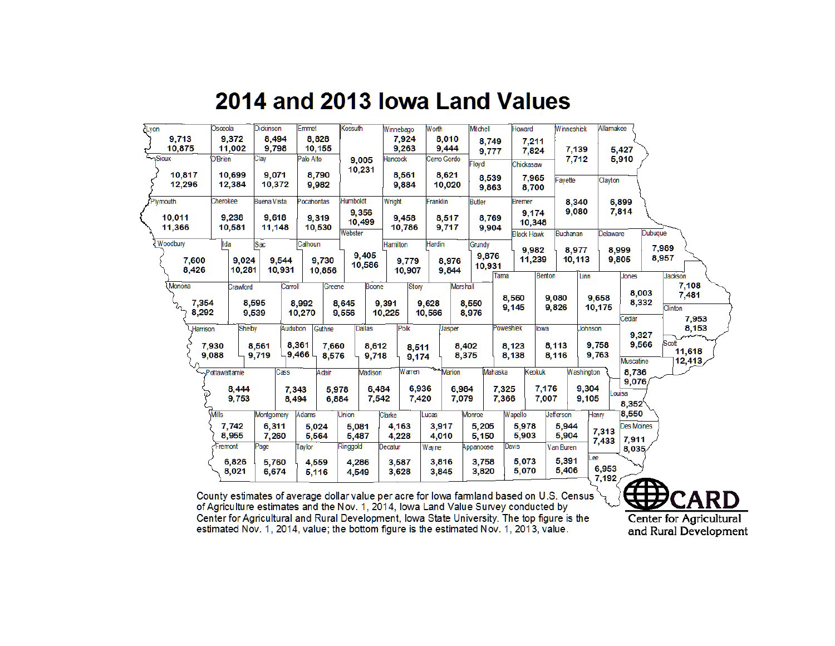## 2014 and 2013 lowa Land Values

| Lyon |                                     | Osceola              |                           | <b>Dickinson</b>                |                         | Emmet                                 |                | Kossuth                    | Winnebago        |                          | Worth                                  |                                 | Mitchell                  |                           | Howard                               |                | Winneshiek        |                              | Allamakee       |                                   |                |                                   |
|------|-------------------------------------|----------------------|---------------------------|---------------------------------|-------------------------|---------------------------------------|----------------|----------------------------|------------------|--------------------------|----------------------------------------|---------------------------------|---------------------------|---------------------------|--------------------------------------|----------------|-------------------|------------------------------|-----------------|-----------------------------------|----------------|-----------------------------------|
|      | 9,713<br>10,875<br>Sioux-<br>10,817 | <b>O'Brien</b>       | 9,372<br>11,002<br>10,699 | 8,494<br>9,798<br>Clay<br>9,071 |                         | 8,828<br>10,155<br>Palo Alto<br>8,790 |                | 9,005<br>10,231            | $tan \omega$ ck  | 7,924<br>9,263           | 8,010<br>9,444<br>Cerro Gordo<br>8,621 |                                 | 8,749<br>9,777<br>Floyd   |                           | 7,211<br>7,824<br>Chickasaw          |                | 7,139<br>7,712    |                              |                 | 5,427<br>5,910                    |                |                                   |
|      | 12,296                              |                      | 12,384                    | 10,372                          |                         | 9,982                                 |                |                            |                  | 8,561<br>9,884           | 10,020                                 |                                 | 8,539<br>9,863            |                           | 7,965<br>8,700                       |                | avette            |                              | Clayton         |                                   |                |                                   |
|      | Plymouth                            | Cherokee             |                           | <b>Buena Vista</b>              |                         | Pocahontas                            |                | Humboldt                   | Wright           |                          | Franklin                               |                                 | <b>Butler</b>             |                           | <b>Bremer</b>                        |                | 8,340             |                              |                 | 6,899                             |                |                                   |
|      | 10,011<br>11,366                    |                      | 9,238<br>10,581           | 9,618<br>11,148                 |                         | 9,319<br>10,530                       |                | 9,356<br>10,499<br>Webster |                  | 9,458<br>10,786          | 8,517<br>9,717                         |                                 | 8,769<br>9,904            |                           | 9,174<br>10,348<br><b>Black Hawk</b> |                | 9,080<br>Buchanan |                              | Delaware        | 7,814                             | Dubuque        |                                   |
|      | Woodbury<br>7,600<br>8,426          | lda                  | 9,024<br>10,281           | Sac<br>9.544<br>10,931          |                         | Calhoun<br>9,730                      |                | 9,405<br>10,586            | Hamilton         | 9,779                    | Hardin                                 | 8,976                           | Grundy<br>9,876<br>10,931 |                           | 9,982<br>11.239                      |                | 8,977<br>10,113   |                              |                 | 8,999<br>9,805                    | 7,989<br>8,957 |                                   |
|      | Monona                              |                      | Crawford                  |                                 | Carroll                 | 10,856                                | Greene         | Boone                      |                  | 10,907<br>Story          |                                        | 9,844<br><b>Marshall</b>        |                           | Tama                      |                                      | <b>Benton</b>  |                   | Linn                         |                 | Jones                             |                | <b>Jackson</b><br>7,108           |
|      | 7,354<br>Z.<br>8,292                |                      |                           | 8,595<br>9,539                  |                         | 8,992<br>10,270                       |                | 8,645<br>9,556             | 9,391<br>10,225  |                          | 9,628<br>10,566                        |                                 | 8,550<br>8,976            |                           | 8,560<br>9,145                       | 9,080<br>9,826 |                   |                              | 9,658<br>10,175 | 8,003<br>8,332                    |                | 7,481<br>Clinton                  |
|      | Harrison                            | 7,930                | Shelby                    | 8,561                           | <b>Audubon</b><br>8,361 | Guthrie                               | 7,660          | Dallas<br>8,612            |                  | Polk<br>8,511            |                                        | Jasper<br>8,402                 |                           | Poweshiek                 | 8,123                                | lowa<br>8,113  |                   | Johnson<br>9,758             |                 | Cedar<br>9,327<br>9,566           |                | 7,953<br>8,153<br>Scott<br>11,618 |
|      |                                     | 9,088                |                           | 9,719                           | 9,466                   |                                       | 8,576          | 9,718                      |                  | 9,174                    |                                        | 8,375                           |                           |                           | 8,138                                | 8,116          |                   | 9,763                        |                 | <b>Muscatine</b>                  |                | 12,413                            |
|      |                                     | <b>Pottawattamie</b> | 8,444<br>9,753            |                                 | Cass<br>7,343<br>8,494  | Adair                                 | 5,978<br>6.884 | Madison                    | 6,484<br>7,542   | Warren<br>6,936<br>7,420 |                                        | <b>Marion</b><br>6,984<br>7,079 |                           | Mahaska<br>7,325<br>7,366 | Keokuk                               | 7,176<br>7,007 |                   | Washington<br>9,304<br>9,105 |                 | 8,736<br>9,076<br>Louisa<br>8,352 |                |                                   |
|      |                                     | <b>Mills</b>         | 7,742                     | Montgomery<br>6,311             |                         | Adams<br>5,024                        |                | Union<br>5,081             | Clarke<br>4,163  |                          | Lucas<br>3,917                         |                                 | Monroe<br>5,205           |                           | Wapello<br>5,978                     | Jefferson      | 5,944             | Henry                        |                 | 18,550<br><b>Des Moines</b>       |                |                                   |
|      |                                     | Fremont              | 8,955                     | 7,260<br>Page                   |                         | 5,564<br>Taylor                       |                | 5,487<br>Ringgold          | 4,228<br>Decatur |                          | 4,010<br>Wayne                         |                                 | 5,150<br>Appanoose        |                           | 5,903<br>Davis                       | Van Buren      | 5,904             |                              | 7,313<br>7,433  | 7,911<br>8,035                    |                |                                   |
|      |                                     |                      | 6,826<br>8,021            | 5,760<br>6,674                  |                         | 4,559<br>5,116                        |                | 4,286<br>4,549             | 3,587<br>3,628   |                          | 3,816<br>3,845                         |                                 | 3,758<br>3,820            |                           | 5,073<br>5,070                       |                | 5,391<br>5,406    | .ee                          | 6,953<br>7,192  |                                   | 412            |                                   |

County estimates of average dollar value per acre for lowa farmland based on U.S. Census  $\searrow$  of Agriculture estimates and the Nov. 1, 2014, lowa Land Value Survey conducted by Center for Agricultural and Rural Development, Iowa State University. The top figure is the estimated Nov. 1, 2014, value; the bottom figure is the estimated Nov. 1, 2013, value.

**SEP CARD** Center for Agricultural and Rural Development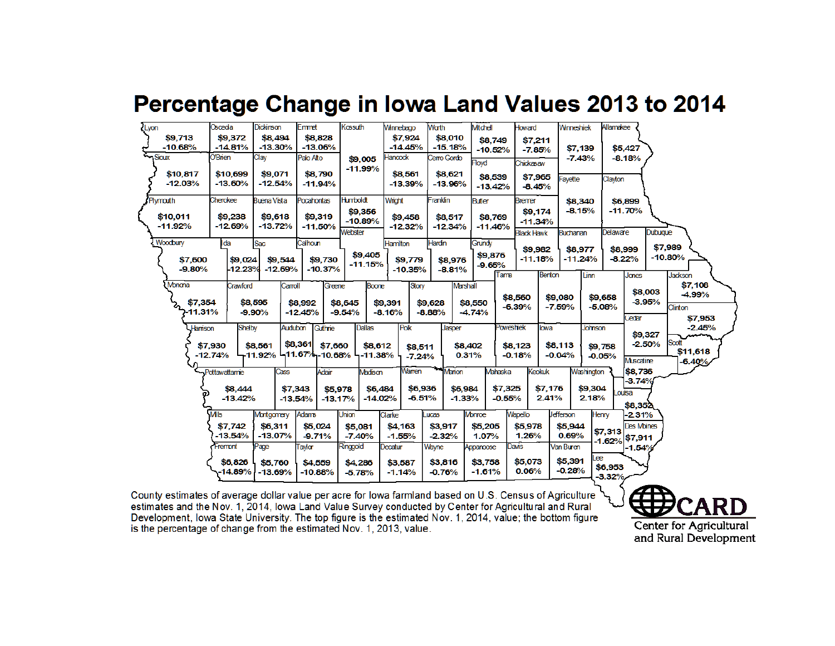### Percentage Change in Iowa Land Values 2013 to 2014

| Lyon                      | Osceda                      | <b>Dickinson</b>                  | Emmet                | Kossuth                | <b>Winnebago</b>     | Worth                | Mtchell                 | Howard              | <b>Winneshiek</b> | Allamakee           |                     |                           |
|---------------------------|-----------------------------|-----------------------------------|----------------------|------------------------|----------------------|----------------------|-------------------------|---------------------|-------------------|---------------------|---------------------|---------------------------|
| \$9.713                   | \$9,372                     | \$8,494                           | \$8,828              |                        | \$7,924              | \$8,010              | \$8,749                 | \$7,211             |                   |                     |                     |                           |
| $-10.68%$<br>Sioux        | $-14.81%$<br><b>O'Brien</b> | $-13.30%$                         | $-13.06%$            |                        | $-14.45%$            | $-15.18%$            | $-10.52%$               | $-7.85%$            | \$7,139           |                     | \$5,427             |                           |
|                           |                             | Clay                              | Palo Alto            | \$9,005<br>$-11.99%$   | Hancock              | Cerro Gordo          | <b>Floyd</b>            | Chickasaw           | $-7.43%$          |                     | $-8.18%$            |                           |
| \$10,817                  | \$10,699                    | \$9,071                           | \$8,790              |                        | \$8,561              | \$8,621              | \$8,539                 | \$7,965             | Favette           | Clayton             |                     |                           |
| $-12.03%$                 | $-13.60%$                   | $-12.54%$                         | $-11.94%$            |                        | $-13.39%$            | $-13.96%$            | $-13.42%$               | $-8.45%$            |                   |                     |                     |                           |
| Plymouth                  | Cherokee                    | <b>Buena Vista</b>                | <b>Pocahontas</b>    | <b>Humboldt</b>        | Wright               | Franklin             | <b>Butler</b>           | <b>Bremer</b>       | \$8,340           | \$6,899             |                     |                           |
|                           |                             |                                   |                      | \$9,356                |                      |                      |                         | \$9,174             | $-8.15%$          |                     | $-11.70%$           |                           |
| \$10,011<br>$-11.92%$     | \$9,238<br>$-12.69%$        | \$9,618<br>$-13.72%$              | \$9,319<br>$-11.50%$ | $-10.89%$              | \$9,458<br>$-12.32%$ | \$8,517<br>$-12.34%$ | \$8,769<br>$-11.46%$    | $-11.34%$           |                   |                     |                     |                           |
|                           |                             |                                   |                      | Webster                |                      |                      |                         | <b>Black Hawk</b>   | <b>Buchanan</b>   | Delaware            | <b>Dubuque</b>      |                           |
| Woodbury                  | Ida                         | Sac                               | Calhoun              |                        | <b>Hamilton</b>      | Hardin               | Grundy                  | \$9,982             | \$8,977           | \$8,999             |                     | \$7,989                   |
| \$7,600                   | \$9,024                     | \$9,544                           | \$9,730              | \$9,405                | \$9,779              | \$8,976              | \$9,876                 | $-11.18%$           | $-11.24%$         | $-8.22%$            |                     | $-10.80%$                 |
| $-9.80%$                  | $-12.23%$                   | $-12.69%$                         | $-10.37%$            | $-11.15%$              | $-10.35%$            | $-8.81%$             | $-9.65%$                |                     |                   |                     |                     |                           |
| Monona                    | Crawford                    | Carroll                           | Greene               | <b>Boone</b>           | Story                |                      | Tama<br><b>Marshall</b> | Benton              | Linn              |                     | Janes               | <b>Jackson</b><br>\$7,108 |
|                           |                             |                                   |                      |                        |                      |                      |                         | \$8,560             | \$9,080           | \$9,658             | \$8,003             | $-4.99%$                  |
| \$7,354                   |                             | \$8,595                           | \$8,992              | \$8,645                | \$9,391              | \$9,628              | \$8,550                 | $-6.39%$            | $-7.59%$          | $-5.08%$            | $-3.95%$            | Clinton                   |
| ر<br>11.31%ج <sup>7</sup> |                             | $-9.90%$                          | $-12.45%$            | $-9.54%$               | $-8.16%$             | $-8.88%$             | $-4.74%$                |                     |                   |                     | Cedar               | \$7,953                   |
| Harrison                  | Shelby                      | Auduban                           | Guthrie              | <b>Dallas</b>          | Polk                 | Jasper               |                         | Poweshiek<br>lowa   | Johnson           |                     |                     | $-2.45%$                  |
|                           |                             |                                   | \$8,361 \$7,660      |                        |                      |                      |                         |                     | \$8,113           |                     | \$9,327<br>$-2.50%$ | Scott                     |
|                           | \$7,930<br>$-12.74%$        | \$8,561<br>-11.92% -11.67%-10.68% |                      | \$8,612<br>$-11.38%$   | \$8,511<br>$-7.24%$  |                      | \$8,402<br>0.31%        | \$8,123<br>$-0.18%$ | $-0.04%$          | \$9,758<br>$-0.05%$ |                     | \$11,618                  |
|                           |                             |                                   |                      |                        |                      |                      |                         |                     |                   |                     | Muscatine           | $-6.40%$                  |
|                           | - Pottawattamie             | Cass                              | Adair                | Madison                | Warren               | Marion               | Mahaska                 | <b>Keokuk</b>       | Washington        |                     | \$8,736             |                           |
|                           | \$8,444                     |                                   | \$7,343              | \$6,484<br>\$5,978     | \$6,936              |                      | \$7,325<br>\$6,984      | \$7,176             | \$9,304           | ouisa               | $-3.74%$            |                           |
|                           | $-13.42%$                   |                                   | $-13.54%$            | $-14.02%$<br>$-13.17%$ | $-6.51%$             |                      | $-1.33%$<br>$-0.55%$    | 2.41%               | 2.18%             |                     |                     |                           |
|                           | <b>MIS</b>                  | Montgomery                        | <b>Adams</b>         | <b>Union</b>           | Clarke               | ucas                 | <b>Monroe</b>           | Wapello             | <b>Jefferson</b>  | Henry               | \$8,352<br>$-2.31%$ |                           |
|                           | \$7,742                     | \$6,311                           | \$5,024              | \$5,081                | \$4,163              | \$3,917              | \$5,205                 | \$5,978             | \$5,944           |                     | <b>Des Moines</b>   |                           |
|                           | $-13.54%$                   | $-13.07%$                         | $-9.71%$             | $-7.40%$               | $-1.55%$             | $-2.32%$             | 1.07%                   | 1.26%               | 0.69%             | \$7,313             | $-1.62%$ \$7,911    |                           |
|                           | Fremont                     | Page                              | Taylor               | Ringgold               | Decatur              | Wayne                | Appanoose               | <b>Davis</b>        | Van Buren         |                     | $-1.54%$            |                           |
|                           | \$6,826                     | \$5,760                           | \$4,559              | \$4,286                | \$3,587              | \$3,816              | \$3,758                 | \$5,073             | \$5,391           | Lee                 |                     |                           |
|                           | $-14.89%$                   | $-13.69%$                         | $-10.88%$            | $-5.78%$               | $-1.14%$             | $-0.76%$             | $-1.61%$                | 0.06%               | $-0.28%$          | \$6,953             |                     |                           |
|                           |                             |                                   |                      |                        |                      |                      |                         |                     |                   | $-3.32%$            |                     |                           |

County estimates of average dollar value per acre for lowa farmland based on U.S. Census of Agriculture  $\searrow$ estimates and the Nov. 1, 2014, Iowa Land Value Survey conducted by Center for Agricultural and Rural Development, Iowa State University. The top figure is the estimated Nov. 1, 2014, value; the bottom figure is the percentage of change from the estimated Nov. 1, 2013, value.

Center for Agricultural and Rural Development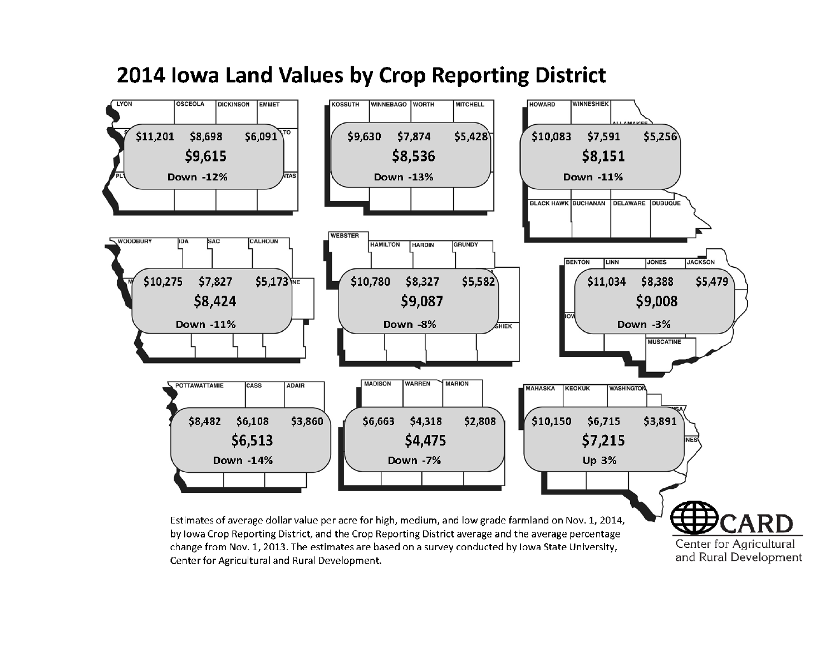

### 2014 Iowa Land Values by Crop Reporting District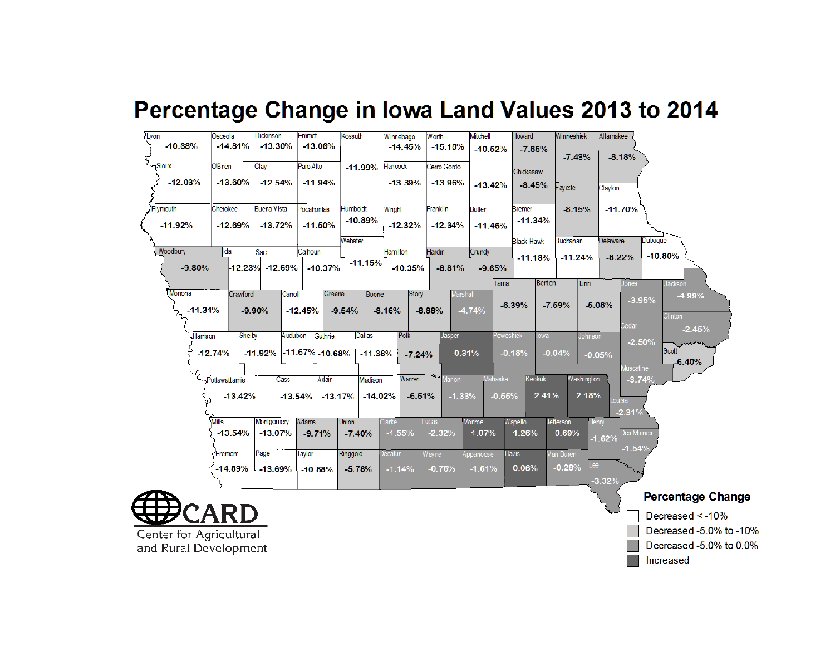## Percentage Change in Iowa Land Values 2013 to 2014

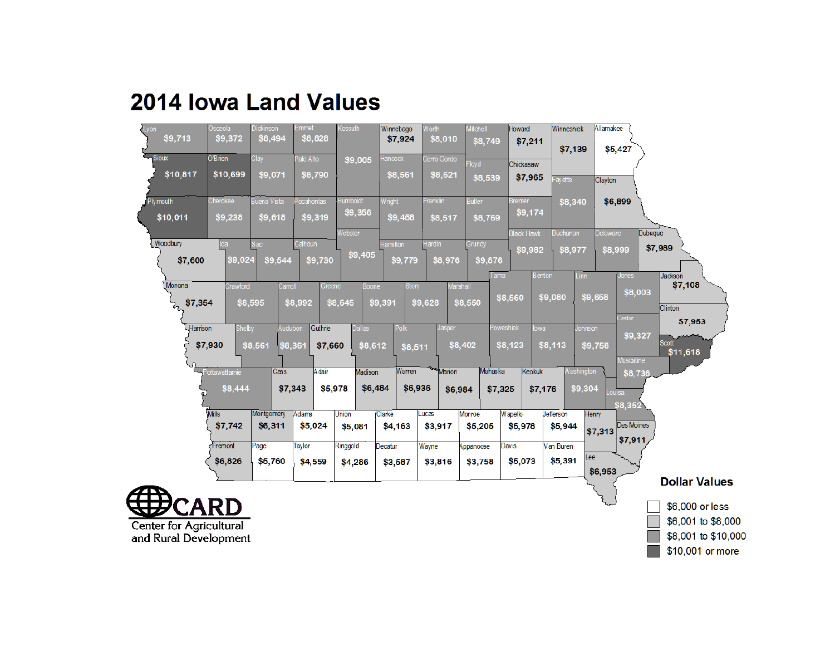

# **2014 Iowa Land Values**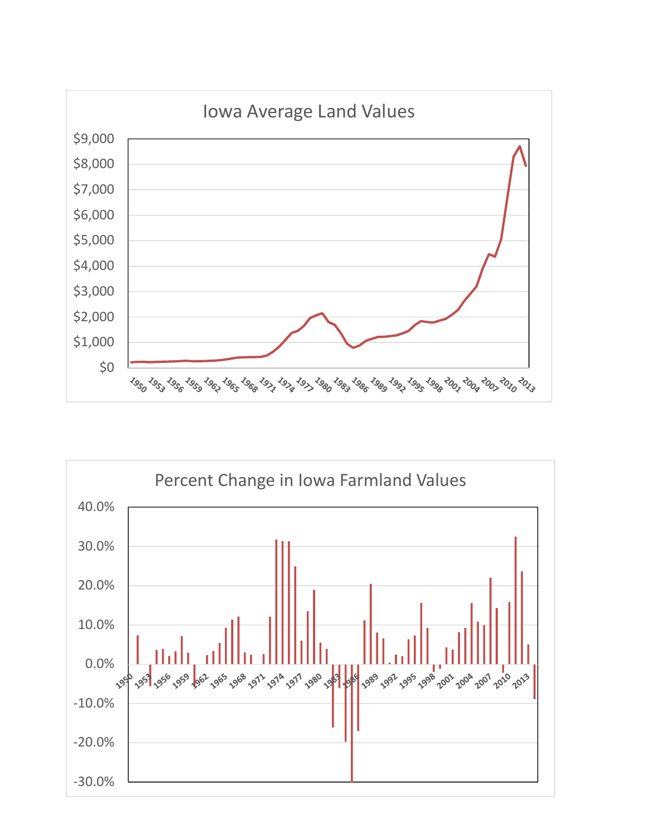

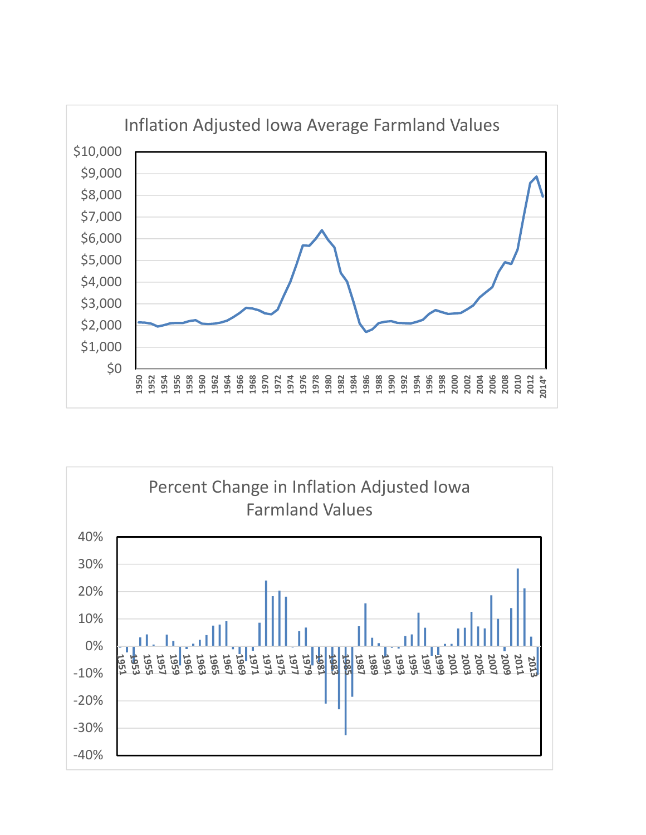